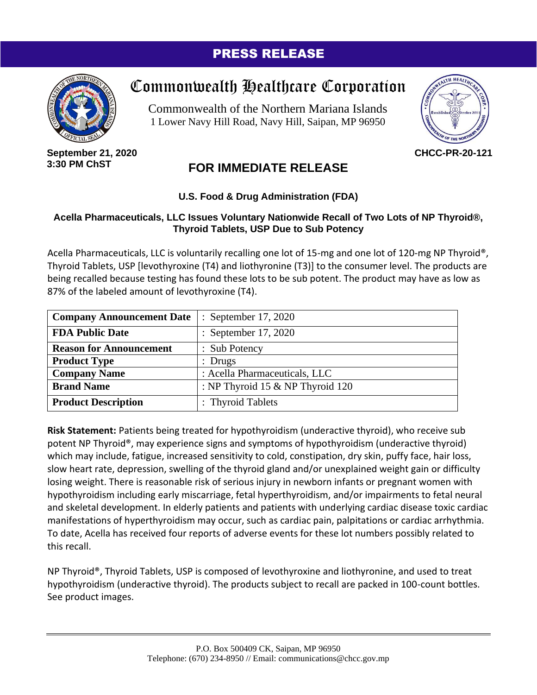### PRESS RELEASE



# Commonwealth Healthcare Corporation

Commonwealth of the Northern Mariana Islands 1 Lower Navy Hill Road, Navy Hill, Saipan, MP 96950



**September 21, 2020 3:30 PM ChST**

## **FOR IMMEDIATE RELEASE**

#### **U.S. Food & Drug Administration (FDA)**

#### **Acella Pharmaceuticals, LLC Issues Voluntary Nationwide Recall of Two Lots of NP Thyroid®, Thyroid Tablets, USP Due to Sub Potency**

Acella Pharmaceuticals, LLC is voluntarily recalling one lot of 15-mg and one lot of 120-mg NP Thyroid®, Thyroid Tablets, USP [levothyroxine (T4) and liothyronine (T3)] to the consumer level. The products are being recalled because testing has found these lots to be sub potent. The product may have as low as 87% of the labeled amount of levothyroxine (T4).

| <b>Company Announcement Date</b> | : September 17, 2020               |
|----------------------------------|------------------------------------|
| <b>FDA Public Date</b>           | : September 17, 2020               |
| <b>Reason for Announcement</b>   | : Sub Potency                      |
| <b>Product Type</b>              | $:$ Drugs                          |
| <b>Company Name</b>              | : Acella Pharmaceuticals, LLC      |
| <b>Brand Name</b>                | : NP Thyroid 15 $&$ NP Thyroid 120 |
| <b>Product Description</b>       | : Thyroid Tablets                  |

**Risk Statement:** Patients being treated for hypothyroidism (underactive thyroid), who receive sub potent NP Thyroid®, may experience signs and symptoms of hypothyroidism (underactive thyroid) which may include, fatigue, increased sensitivity to cold, constipation, dry skin, puffy face, hair loss, slow heart rate, depression, swelling of the thyroid gland and/or unexplained weight gain or difficulty losing weight. There is reasonable risk of serious injury in newborn infants or pregnant women with hypothyroidism including early miscarriage, fetal hyperthyroidism, and/or impairments to fetal neural and skeletal development. In elderly patients and patients with underlying cardiac disease toxic cardiac manifestations of hyperthyroidism may occur, such as cardiac pain, palpitations or cardiac arrhythmia. To date, Acella has received four reports of adverse events for these lot numbers possibly related to this recall.

NP Thyroid®, Thyroid Tablets, USP is composed of levothyroxine and liothyronine, and used to treat hypothyroidism (underactive thyroid). The products subject to recall are packed in 100-count bottles. See product images.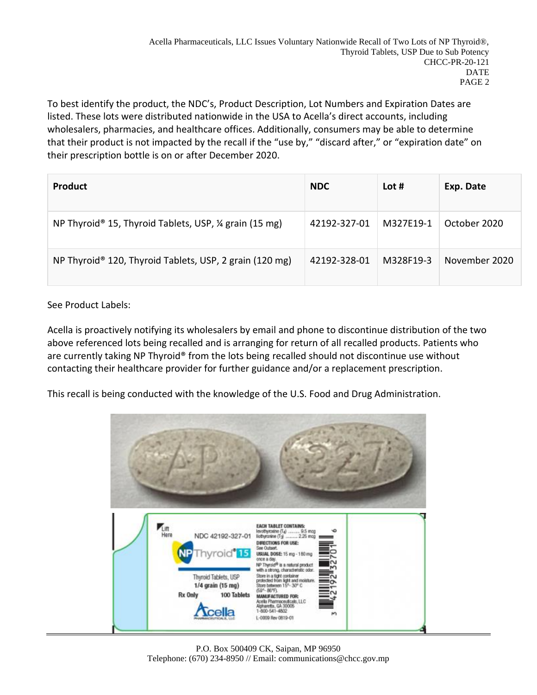To best identify the product, the NDC's, Product Description, Lot Numbers and Expiration Dates are listed. These lots were distributed nationwide in the USA to Acella's direct accounts, including wholesalers, pharmacies, and healthcare offices. Additionally, consumers may be able to determine that their product is not impacted by the recall if the "use by," "discard after," or "expiration date" on their prescription bottle is on or after December 2020.

| <b>Product</b>                                                    | <b>NDC</b>   | Lot #     | Exp. Date     |
|-------------------------------------------------------------------|--------------|-----------|---------------|
| NP Thyroid <sup>®</sup> 15, Thyroid Tablets, USP, ¼ grain (15 mg) | 42192-327-01 | M327E19-1 | October 2020  |
| NP Thyroid® 120, Thyroid Tablets, USP, 2 grain (120 mg)           | 42192-328-01 | M328F19-3 | November 2020 |

#### See Product Labels:

Acella is proactively notifying its wholesalers by email and phone to discontinue distribution of the two above referenced lots being recalled and is arranging for return of all recalled products. Patients who are currently taking NP Thyroid® from the lots being recalled should not discontinue use without contacting their healthcare provider for further guidance and/or a replacement prescription.

This recall is being conducted with the knowledge of the U.S. Food and Drug Administration.